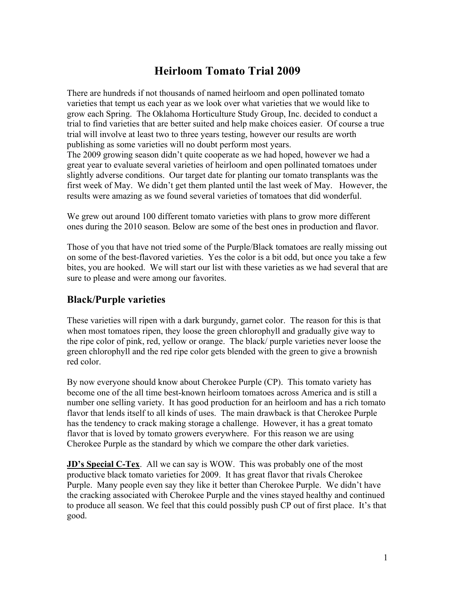# **Heirloom Tomato Trial 2009**

There are hundreds if not thousands of named heirloom and open pollinated tomato varieties that tempt us each year as we look over what varieties that we would like to grow each Spring. The Oklahoma Horticulture Study Group, Inc. decided to conduct a trial to find varieties that are better suited and help make choices easier. Of course a true trial will involve at least two to three years testing, however our results are worth publishing as some varieties will no doubt perform most years.

The 2009 growing season didn't quite cooperate as we had hoped, however we had a great year to evaluate several varieties of heirloom and open pollinated tomatoes under slightly adverse conditions. Our target date for planting our tomato transplants was the first week of May. We didn't get them planted until the last week of May. However, the results were amazing as we found several varieties of tomatoes that did wonderful.

We grew out around 100 different tomato varieties with plans to grow more different ones during the 2010 season. Below are some of the best ones in production and flavor.

Those of you that have not tried some of the Purple/Black tomatoes are really missing out on some of the best-flavored varieties. Yes the color is a bit odd, but once you take a few bites, you are hooked. We will start our list with these varieties as we had several that are sure to please and were among our favorites.

### **Black/Purple varieties**

These varieties will ripen with a dark burgundy, garnet color. The reason for this is that when most tomatoes ripen, they loose the green chlorophyll and gradually give way to the ripe color of pink, red, yellow or orange. The black/ purple varieties never loose the green chlorophyll and the red ripe color gets blended with the green to give a brownish red color.

By now everyone should know about Cherokee Purple (CP). This tomato variety has become one of the all time best-known heirloom tomatoes across America and is still a number one selling variety. It has good production for an heirloom and has a rich tomato flavor that lends itself to all kinds of uses. The main drawback is that Cherokee Purple has the tendency to crack making storage a challenge. However, it has a great tomato flavor that is loved by tomato growers everywhere. For this reason we are using Cherokee Purple as the standard by which we compare the other dark varieties.

**JD's Special C-Tex**. All we can say is WOW. This was probably one of the most productive black tomato varieties for 2009. It has great flavor that rivals Cherokee Purple. Many people even say they like it better than Cherokee Purple. We didn't have the cracking associated with Cherokee Purple and the vines stayed healthy and continued to produce all season. We feel that this could possibly push CP out of first place. It's that good.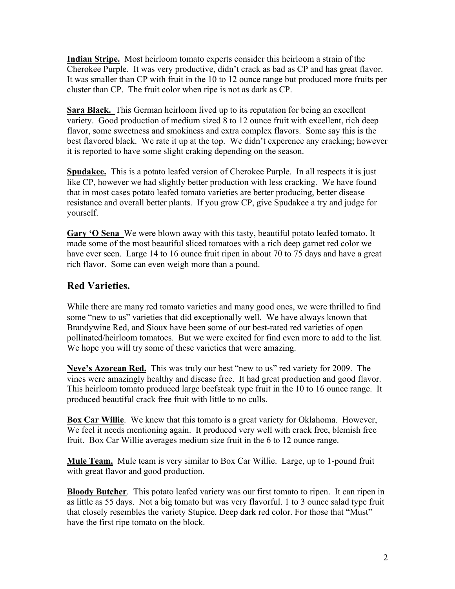**Indian Stripe.** Most heirloom tomato experts consider this heirloom a strain of the Cherokee Purple. It was very productive, didn't crack as bad as CP and has great flavor. It was smaller than CP with fruit in the 10 to 12 ounce range but produced more fruits per cluster than CP. The fruit color when ripe is not as dark as CP.

**Sara Black.** This German heirloom lived up to its reputation for being an excellent variety. Good production of medium sized 8 to 12 ounce fruit with excellent, rich deep flavor, some sweetness and smokiness and extra complex flavors. Some say this is the best flavored black. We rate it up at the top. We didn't experence any cracking; however it is reported to have some slight craking depending on the season.

**Spudakee.** This is a potato leafed version of Cherokee Purple. In all respects it is just like CP, however we had slightly better production with less cracking. We have found that in most cases potato leafed tomato varieties are better producing, better disease resistance and overall better plants. If you grow CP, give Spudakee a try and judge for yourself.

**Gary 'O Sena** We were blown away with this tasty, beautiful potato leafed tomato. It made some of the most beautiful sliced tomatoes with a rich deep garnet red color we have ever seen. Large 14 to 16 ounce fruit ripen in about 70 to 75 days and have a great rich flavor. Some can even weigh more than a pound.

## **Red Varieties.**

While there are many red tomato varieties and many good ones, we were thrilled to find some "new to us" varieties that did exceptionally well. We have always known that Brandywine Red, and Sioux have been some of our best-rated red varieties of open pollinated/heirloom tomatoes. But we were excited for find even more to add to the list. We hope you will try some of these varieties that were amazing.

**Neve's Azorean Red.** This was truly our best "new to us" red variety for 2009. The vines were amazingly healthy and disease free. It had great production and good flavor. This heirloom tomato produced large beefsteak type fruit in the 10 to 16 ounce range. It produced beautiful crack free fruit with little to no culls.

**Box Car Willie**. We knew that this tomato is a great variety for Oklahoma. However, We feel it needs mentioning again. It produced very well with crack free, blemish free fruit. Box Car Willie averages medium size fruit in the 6 to 12 ounce range.

**Mule Team.** Mule team is very similar to Box Car Willie. Large, up to 1-pound fruit with great flavor and good production.

**Bloody Butcher**. This potato leafed variety was our first tomato to ripen. It can ripen in as little as 55 days. Not a big tomato but was very flavorful. 1 to 3 ounce salad type fruit that closely resembles the variety Stupice. Deep dark red color. For those that "Must" have the first ripe tomato on the block.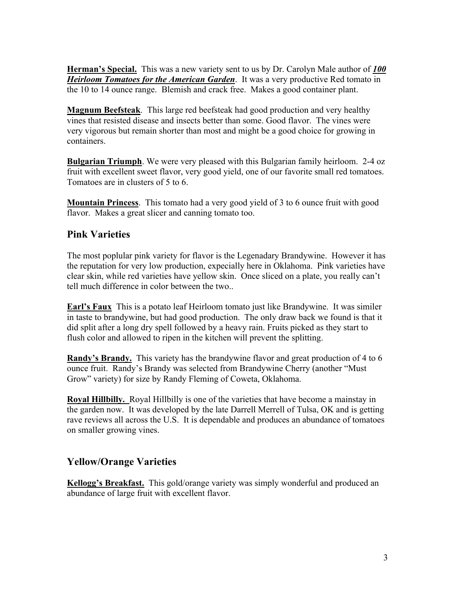**Herman's Special.** This was a new variety sent to us by Dr. Carolyn Male author of *100 Heirloom Tomatoes for the American Garden*. It was a very productive Red tomato in the 10 to 14 ounce range. Blemish and crack free. Makes a good container plant.

**Magnum Beefsteak**. This large red beefsteak had good production and very healthy vines that resisted disease and insects better than some. Good flavor. The vines were very vigorous but remain shorter than most and might be a good choice for growing in containers.

**Bulgarian Triumph**. We were very pleased with this Bulgarian family heirloom. 2-4 oz fruit with excellent sweet flavor, very good yield, one of our favorite small red tomatoes. Tomatoes are in clusters of 5 to 6.

**Mountain Princess**. This tomato had a very good yield of 3 to 6 ounce fruit with good flavor. Makes a great slicer and canning tomato too.

#### **Pink Varieties**

The most poplular pink variety for flavor is the Legenadary Brandywine. However it has the reputation for very low production, expecially here in Oklahoma. Pink varieties have clear skin, while red varieties have yellow skin. Once sliced on a plate, you really can't tell much difference in color between the two..

**Earl's Faux** This is a potato leaf Heirloom tomato just like Brandywine. It was similer in taste to brandywine, but had good production. The only draw back we found is that it did split after a long dry spell followed by a heavy rain. Fruits picked as they start to flush color and allowed to ripen in the kitchen will prevent the splitting.

**Randy's Brandy.** This variety has the brandywine flavor and great production of 4 to 6 ounce fruit. Randy's Brandy was selected from Brandywine Cherry (another "Must Grow" variety) for size by Randy Fleming of Coweta, Oklahoma.

**Royal Hillbilly.** Royal Hillbilly is one of the varieties that have become a mainstay in the garden now. It was developed by the late Darrell Merrell of Tulsa, OK and is getting rave reviews all across the U.S. It is dependable and produces an abundance of tomatoes on smaller growing vines.

#### **Yellow/Orange Varieties**

**Kellogg's Breakfast.** This gold/orange variety was simply wonderful and produced an abundance of large fruit with excellent flavor.